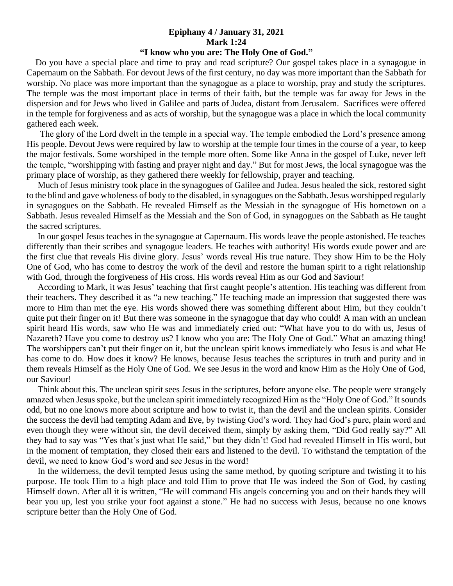## **Epiphany 4 / January 31, 2021 Mark 1:24**

## **"I know who you are: The Holy One of God."**

 Do you have a special place and time to pray and read scripture? Our gospel takes place in a synagogue in Capernaum on the Sabbath. For devout Jews of the first century, no day was more important than the Sabbath for worship. No place was more important than the synagogue as a place to worship, pray and study the scriptures. The temple was the most important place in terms of their faith, but the temple was far away for Jews in the dispersion and for Jews who lived in Galilee and parts of Judea, distant from Jerusalem. Sacrifices were offered in the temple for forgiveness and as acts of worship, but the synagogue was a place in which the local community gathered each week.

 The glory of the Lord dwelt in the temple in a special way. The temple embodied the Lord's presence among His people. Devout Jews were required by law to worship at the temple four times in the course of a year, to keep the major festivals. Some worshiped in the temple more often. Some like Anna in the gospel of Luke, never left the temple, "worshipping with fasting and prayer night and day." But for most Jews, the local synagogue was the primary place of worship, as they gathered there weekly for fellowship, prayer and teaching.

 Much of Jesus ministry took place in the synagogues of Galilee and Judea. Jesus healed the sick, restored sight to the blind and gave wholeness of body to the disabled, in synagogues on the Sabbath. Jesus worshipped regularly in synagogues on the Sabbath. He revealed Himself as the Messiah in the synagogue of His hometown on a Sabbath. Jesus revealed Himself as the Messiah and the Son of God, in synagogues on the Sabbath as He taught the sacred scriptures.

 In our gospel Jesus teaches in the synagogue at Capernaum. His words leave the people astonished. He teaches differently than their scribes and synagogue leaders. He teaches with authority! His words exude power and are the first clue that reveals His divine glory. Jesus' words reveal His true nature. They show Him to be the Holy One of God, who has come to destroy the work of the devil and restore the human spirit to a right relationship with God, through the forgiveness of His cross. His words reveal Him as our God and Saviour!

 According to Mark, it was Jesus' teaching that first caught people's attention. His teaching was different from their teachers. They described it as "a new teaching." He teaching made an impression that suggested there was more to Him than met the eye. His words showed there was something different about Him, but they couldn't quite put their finger on it! But there was someone in the synagogue that day who could! A man with an unclean spirit heard His words, saw who He was and immediately cried out: "What have you to do with us, Jesus of Nazareth? Have you come to destroy us? I know who you are: The Holy One of God." What an amazing thing! The worshippers can't put their finger on it, but the unclean spirit knows immediately who Jesus is and what He has come to do. How does it know? He knows, because Jesus teaches the scriptures in truth and purity and in them reveals Himself as the Holy One of God. We see Jesus in the word and know Him as the Holy One of God, our Saviour!

 Think about this. The unclean spirit sees Jesus in the scriptures, before anyone else. The people were strangely amazed when Jesus spoke, but the unclean spirit immediately recognized Him as the "Holy One of God." It sounds odd, but no one knows more about scripture and how to twist it, than the devil and the unclean spirits. Consider the success the devil had tempting Adam and Eve, by twisting God's word. They had God's pure, plain word and even though they were without sin, the devil deceived them, simply by asking them, "Did God really say?" All they had to say was "Yes that's just what He said," but they didn't! God had revealed Himself in His word, but in the moment of temptation, they closed their ears and listened to the devil. To withstand the temptation of the devil, we need to know God's word and see Jesus in the word!

 In the wilderness, the devil tempted Jesus using the same method, by quoting scripture and twisting it to his purpose. He took Him to a high place and told Him to prove that He was indeed the Son of God, by casting Himself down. After all it is written, "He will command His angels concerning you and on their hands they will bear you up, lest you strike your foot against a stone." He had no success with Jesus, because no one knows scripture better than the Holy One of God.